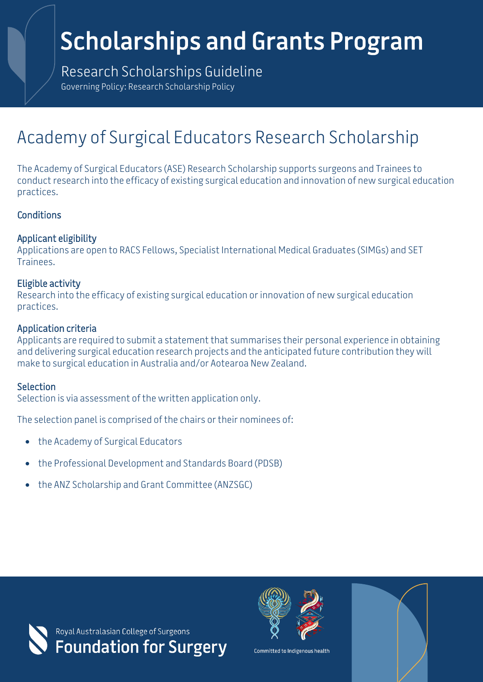# **Scholarships and Grants Program**

Research Scholarships Guideline Governing Policy: Research Scholarship Policy

# Academy of Surgical Educators Research Scholarship

The Academy of Surgical Educators (ASE) Research Scholarship supports surgeons and Trainees to conduct research into the efficacy of existing surgical education and innovation of new surgical education practices.

## **Conditions**

## Applicant eligibility

Applications are open to RACS Fellows, Specialist International Medical Graduates (SIMGs) and SET Trainees.

## Eligible activity

Research into the efficacy of existing surgical education or innovation of new surgical education practices.

#### Application criteria

Applicants are required to submit a statement that summarises their personal experience in obtaining and delivering surgical education research projects and the anticipated future contribution they will make to surgical education in Australia and/or Aotearoa New Zealand.

#### Selection

Selection is via assessment of the written application only.

The selection panel is comprised of the chairs or their nominees of:

- the Academy of Surgical Educators
- the Professional Development and Standards Board (PDSB)
- the ANZ Scholarship and Grant Committee (ANZSGC)





Committed to Indigenous health